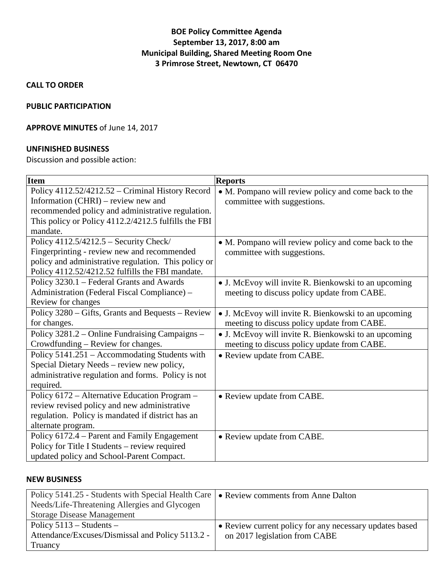## **BOE Policy Committee Agenda September 13, 2017, 8:00 am Municipal Building, Shared Meeting Room One 3 Primrose Street, Newtown, CT 06470**

**CALL TO ORDER**

### **PUBLIC PARTICIPATION**

### **APPROVE MINUTES** of June 14, 2017

### **UNFINISHED BUSINESS**

Discussion and possible action:

| <b>Item</b>                                          | <b>Reports</b>                                       |
|------------------------------------------------------|------------------------------------------------------|
| Policy 4112.52/4212.52 - Criminal History Record     | • M. Pompano will review policy and come back to the |
| Information (CHRI) – review new and                  | committee with suggestions.                          |
| recommended policy and administrative regulation.    |                                                      |
| This policy or Policy 4112.2/4212.5 fulfills the FBI |                                                      |
| mandate.                                             |                                                      |
| Policy $4112.5/4212.5$ – Security Check/             | • M. Pompano will review policy and come back to the |
| Fingerprinting - review new and recommended          | committee with suggestions.                          |
| policy and administrative regulation. This policy or |                                                      |
| Policy 4112.52/4212.52 fulfills the FBI mandate.     |                                                      |
| Policy 3230.1 – Federal Grants and Awards            | • J. McEvoy will invite R. Bienkowski to an upcoming |
| Administration (Federal Fiscal Compliance) -         | meeting to discuss policy update from CABE.          |
| Review for changes                                   |                                                      |
| Policy 3280 – Gifts, Grants and Bequests – Review    | • J. McEvoy will invite R. Bienkowski to an upcoming |
| for changes.                                         | meeting to discuss policy update from CABE.          |
| Policy 3281.2 – Online Fundraising Campaigns –       | • J. McEvoy will invite R. Bienkowski to an upcoming |
| Crowdfunding – Review for changes.                   | meeting to discuss policy update from CABE.          |
| Policy 5141.251 – Accommodating Students with        | • Review update from CABE.                           |
| Special Dietary Needs - review new policy,           |                                                      |
| administrative regulation and forms. Policy is not   |                                                      |
| required.                                            |                                                      |
| Policy 6172 - Alternative Education Program -        | • Review update from CABE.                           |
| review revised policy and new administrative         |                                                      |
| regulation. Policy is mandated if district has an    |                                                      |
| alternate program.                                   |                                                      |
| Policy 6172.4 – Parent and Family Engagement         | • Review update from CABE.                           |
| Policy for Title I Students – review required        |                                                      |
| updated policy and School-Parent Compact.            |                                                      |

#### **NEW BUSINESS**

| Policy 5141.25 - Students with Special Health Care   • Review comments from Anne Dalton |                                                         |
|-----------------------------------------------------------------------------------------|---------------------------------------------------------|
| Needs/Life-Threatening Allergies and Glycogen                                           |                                                         |
| <b>Storage Disease Management</b>                                                       |                                                         |
| Policy $5113 -$ Students –                                                              | • Review current policy for any necessary updates based |
| Attendance/Excuses/Dismissal and Policy 5113.2 -                                        | on 2017 legislation from CABE                           |
| Truancy                                                                                 |                                                         |